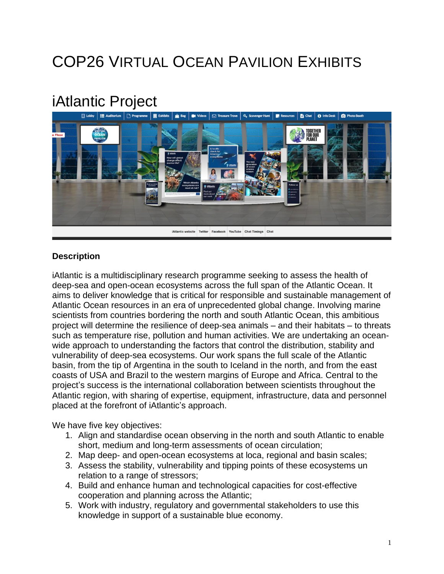# COP26 VIRTUAL OCEAN PAVILION EXHIBITS

## iAtlantic Project



#### **Description**

iAtlantic is a multidisciplinary research programme seeking to assess the health of deep-sea and open-ocean ecosystems across the full span of the Atlantic Ocean. It aims to deliver knowledge that is critical for responsible and sustainable management of Atlantic Ocean resources in an era of unprecedented global change. Involving marine scientists from countries bordering the north and south Atlantic Ocean, this ambitious project will determine the resilience of deep-sea animals – and their habitats – to threats such as temperature rise, pollution and human activities. We are undertaking an oceanwide approach to understanding the factors that control the distribution, stability and vulnerability of deep-sea ecosystems. Our work spans the full scale of the Atlantic basin, from the tip of Argentina in the south to Iceland in the north, and from the east coasts of USA and Brazil to the western margins of Europe and Africa. Central to the project's success is the international collaboration between scientists throughout the Atlantic region, with sharing of expertise, equipment, infrastructure, data and personnel placed at the forefront of iAtlantic's approach.

We have five key objectives:

- 1. Align and standardise ocean observing in the north and south Atlantic to enable short, medium and long-term assessments of ocean circulation;
- 2. Map deep- and open-ocean ecosystems at loca, regional and basin scales;
- 3. Assess the stability, vulnerability and tipping points of these ecosystems un relation to a range of stressors;
- 4. Build and enhance human and technological capacities for cost-effective cooperation and planning across the Atlantic;
- 5. Work with industry, regulatory and governmental stakeholders to use this knowledge in support of a sustainable blue economy.